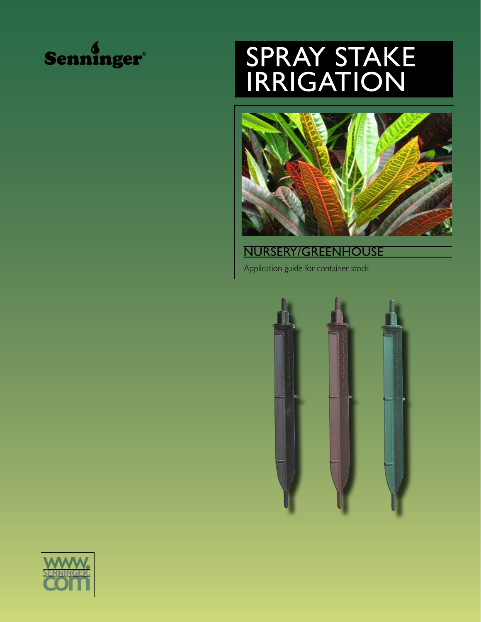

# Spray Stake **IRRIGATION**



Nursery/Greenhouse

Application guide for container stock



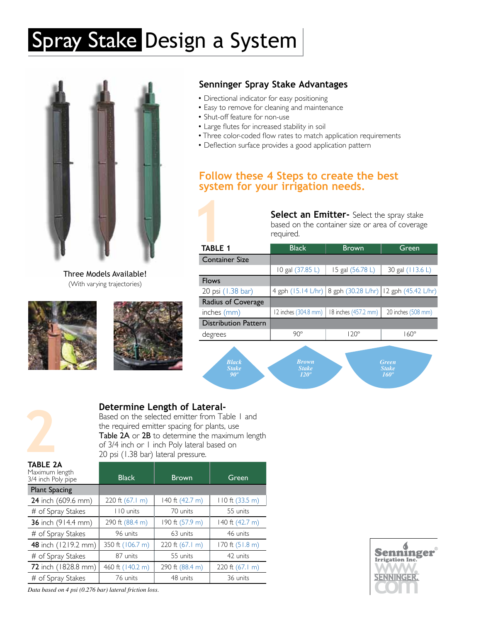# Spray Stake Design a System



Three Models Available! (With varying trajectories)





## **Senninger Spray Stake Advantages**

- Directional indicator for easy positioning
- Easy to remove for cleaning and maintenance
- Shut-off feature for non-use
- Large flutes for increased stability in soil
- Three color-coded flow rates to match application requirements
- Deflection surface provides a good application pattern

## **Follow these 4 Steps to create the best system for your irrigation needs.**

|                             | <b>Select an Emitter-</b> Select the spray stake<br>based on the container size or area of coverage<br>required. |                                                           |                    |
|-----------------------------|------------------------------------------------------------------------------------------------------------------|-----------------------------------------------------------|--------------------|
| <b>TABLE 1</b>              | <b>Black</b>                                                                                                     | <b>Brown</b>                                              | Green              |
| <b>Container Size</b>       |                                                                                                                  |                                                           |                    |
|                             | 10 gal (37.85 L)                                                                                                 | 15 gal (56.78 L)                                          | 30 gal (113.6 L)   |
| <b>Flows</b>                |                                                                                                                  |                                                           |                    |
| 20 psi (1.38 bar)           |                                                                                                                  | 4 gph (15.14 L/hr) 8 gph (30.28 L/hr) 12 gph (45.42 L/hr) |                    |
| Radius of Coverage          |                                                                                                                  |                                                           |                    |
| inches (mm)                 | 12 inches (304.8 mm)                                                                                             | 18 inches (457.2 mm)                                      | 20 inches (508 mm) |
| <b>Distribution Pattern</b> |                                                                                                                  |                                                           |                    |
| degrees                     | $90^\circ$                                                                                                       | $120^\circ$                                               | $160^\circ$        |
|                             |                                                                                                                  |                                                           |                    |

*Black Stake 90º Stake 120º Stake 160º*

# **2**

## **Determine Length of Lateral-**

Based on the selected emitter from Table 1 and the required emitter spacing for plants, use Table 2A or 2B to determine the maximum length of 3/4 inch or 1 inch Poly lateral based on 20 psi (1.38 bar) lateral pressure.

| TABLE 2A<br>Maximum length<br>3/4 inch Poly pipe | <b>Black</b>     | <b>Brown</b>      | Green             |
|--------------------------------------------------|------------------|-------------------|-------------------|
| <b>Plant Spacing</b>                             |                  |                   |                   |
| 24 inch (609.6 mm)                               | 220 ft (67.1 m)  | 140 ft (42.7 m)   | 110 ft (33.5 m)   |
| # of Spray Stakes                                | 110 units        | 70 units          | 55 units          |
| 36 inch (914.4 mm)                               | 290 ft (88.4 m)  | 190 ft (57.9 m)   | 140 ft (42.7 m)   |
| # of Spray Stakes                                | 96 units         | 63 units          | 46 units          |
| 48 inch (1219.2 mm)                              | 350 ft (106.7 m) | 220 ft $(67.1 m)$ | 170 ft $(51.8 m)$ |
| # of Spray Stakes                                | 87 units         | 55 units          | 42 units          |
| 72 inch (1828.8 mm)                              | 460 ft (140.2 m) | 290 ft (88.4 m)   | 220 ft (67.1 m)   |
| # of Spray Stakes                                | 76 units         | 48 units          | 36 units          |



*Data based on 4 psi (0.276 bar) lateral friction loss.*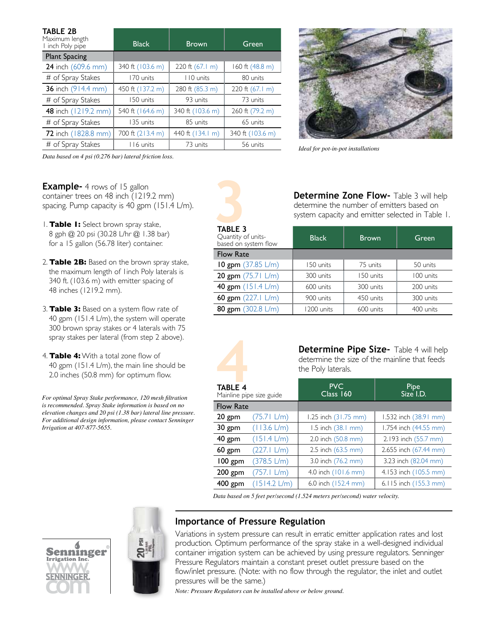| TABLE 2B                           |                  |                  |                  |
|------------------------------------|------------------|------------------|------------------|
| Maximum length<br>I inch Poly pipe | <b>Black</b>     | <b>Brown</b>     | Green            |
| <b>Plant Spacing</b>               |                  |                  |                  |
| 24 inch (609.6 mm)                 | 340 ft (103.6 m) | 220 ft (67.1 m)  | 160 ft (48.8 m)  |
| # of Spray Stakes                  | 170 units        | 110 units        | 80 units         |
| 36 inch (914.4 mm)                 | 450 ft (137.2 m) | 280 ft (85.3 m)  | 220 ft (67.1 m)  |
| # of Spray Stakes                  | 150 units        | 93 units         | 73 units         |
| 48 inch (1219.2 mm)                | 540 ft (164.6 m) | 340 ft (103.6 m) | 260 ft (79.2 m)  |
| # of Spray Stakes                  | 135 units        | 85 units         | 65 units         |
| 72 inch (1828.8 mm)                | 700 ft (213.4 m) | 440 ft (134.1 m) | 340 ft (103.6 m) |
| # of Spray Stakes                  | 116 units        | 73 units         | 56 units         |

*Data based on 4 psi (0.276 bar) lateral friction loss.*

**Example-** 4 rows of 15 gallon container trees on 48 inch (1219.2 mm) spacing. Pump capacity is 40 gpm (151.4 L/m).

- 1. **Table 1:** Select brown spray stake, 8 gph @ 20 psi (30.28 L/hr @ 1.38 bar) for a 15 gallon (56.78 liter) container.
- 2. **Table 2B:** Based on the brown spray stake, the maximum length of 1inch Poly laterals is 340 ft. (103.6 m) with emitter spacing of 48 inches (1219.2 mm).
- 3. **Table 3:** Based on a system flow rate of 40 gpm (151.4 L/m), the system will operate 300 brown spray stakes or 4 laterals with 75 spray stakes per lateral (from step 2 above).
- 4. **Table 4:** With a total zone flow of 40 gpm (151.4 L/m), the main line should be 2.0 inches (50.8 mm) for optimum flow.

*For optimal Spray Stake performance, 120 mesh filtration is recommended. Spray Stake information is based on no elevation changes and 20 psi (1.38 bar) lateral line pressure. For additional design information, please contact Senninger Irrigation at 407-877-5655.*





*Ideal for pot-in-pot installations*

**Determine Zone Flow-** Table 3 will help determine the number of emitters based on system capacity and emitter selected in Table 1.

| <b>TABLE 3</b><br>Quantity of units-<br>based on system flow | <b>Black</b> | <b>Brown</b> | Green     |
|--------------------------------------------------------------|--------------|--------------|-----------|
| <b>Flow Rate</b>                                             |              |              |           |
| 10 gpm $(37.85 \text{ L/m})$                                 | 150 units    | 75 units     | 50 units  |
| 20 gpm $(75.71 \text{ L/m})$                                 | 300 units    | 150 units    | 100 units |
| 40 gpm (151.4 L/m)                                           | 600 units    | 300 units    | 200 units |
| 60 gpm (227.1 L/m)                                           | 900 units    | 450 units    | 300 units |
| 80 gpm (302.8 L/m)                                           | 1200 units   | 600 units    | 400 units |
|                                                              |              |              |           |



**Determine Pipe Size-** Table 4 will help determine the size of the mainline that feeds the Poly laterals.

| <b>TABLE 4</b>   | Mainline pipe size guide | <b>PVC</b><br>Class 160 | Pipe<br>Size I.D.     |
|------------------|--------------------------|-------------------------|-----------------------|
| <b>Flow Rate</b> |                          |                         |                       |
| 20 gpm           | (75.71 L/m)              | 1.25 inch (31.75 mm)    | 1.532 inch (38.91 mm) |
| 30 gpm           | $(113.6 \text{ L/m})$    | 1.5 inch (38.1 mm)      | 1.754 inch (44.55 mm) |
| 40 gpm           | $(151.4 \text{ L/m})$    | 2.0 inch (50.8 mm)      | 2.193 inch (55.7 mm)  |
| $60$ gpm         | (227.1 L/m)              | 2.5 inch (63.5 mm)      | 2.655 inch (67.44 mm) |
| 100 gpm          | (378.5 L/m)              | 3.0 inch (76.2 mm)      | 3.23 inch (82.04 mm)  |
| $200$ gpm        | (757.1 L/m)              | 4.0 inch (101.6 mm)     | 4.153 inch (105.5 mm) |
| 400 gpm          | $(1514.2 \text{ L/m})$   | 6.0 inch (152.4 mm)     | 6.115 inch (155.3 mm) |

*Data based on 5 feet per/second (1.524 meters per/second) water velocity.*

## **WWW.**<br>WWW.<br>SENNINGED **com** Senninger. ®



## **Importance of Pressure Regulation**

Variations in system pressure can result in erratic emitter application rates and lost production. Optimum performance of the spray stake in a well-designed individual container irrigation system can be achieved by using pressure regulators. Senninger Pressure Regulators maintain a constant preset outlet pressure based on the flow/inlet pressure. (Note: with no flow through the regulator, the inlet and outlet pressures will be the same.)

*Note: Pressure Regulators can be installed above or below ground.*